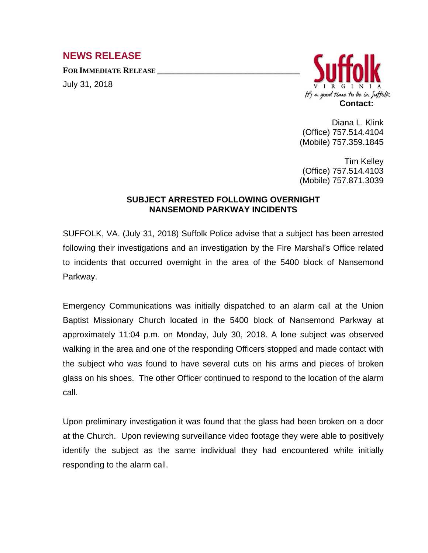## **NEWS RELEASE**

**FOR IMMEDIATE RELEASE \_\_\_\_\_\_\_\_\_\_\_\_\_\_\_\_\_\_\_\_\_\_\_\_\_\_\_\_\_\_\_\_\_\_**

July 31, 2018



Diana L. Klink (Office) 757.514.4104 (Mobile) 757.359.1845

Tim Kelley (Office) 757.514.4103 (Mobile) 757.871.3039

## **SUBJECT ARRESTED FOLLOWING OVERNIGHT NANSEMOND PARKWAY INCIDENTS**

SUFFOLK, VA. (July 31, 2018) Suffolk Police advise that a subject has been arrested following their investigations and an investigation by the Fire Marshal's Office related to incidents that occurred overnight in the area of the 5400 block of Nansemond Parkway.

Emergency Communications was initially dispatched to an alarm call at the Union Baptist Missionary Church located in the 5400 block of Nansemond Parkway at approximately 11:04 p.m. on Monday, July 30, 2018. A lone subject was observed walking in the area and one of the responding Officers stopped and made contact with the subject who was found to have several cuts on his arms and pieces of broken glass on his shoes. The other Officer continued to respond to the location of the alarm call.

Upon preliminary investigation it was found that the glass had been broken on a door at the Church. Upon reviewing surveillance video footage they were able to positively identify the subject as the same individual they had encountered while initially responding to the alarm call.